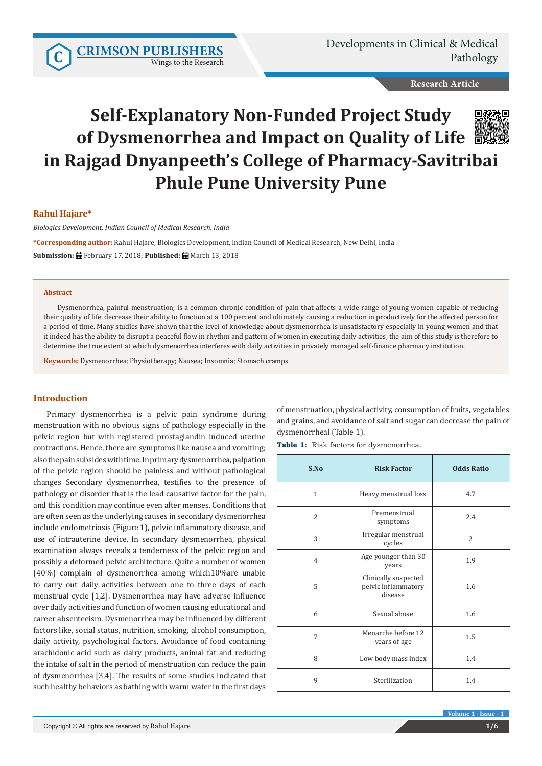Wings to the Research

Developments in Clinical & Medical **[CRIMSON PUBLISHERS](http://crimsonpublishers.com/index.php)**<br>Pathology

**Research Article**

# **Self-Explanatory Non-Funded Project Study of Dysmenorrhea and Impact on Quality of Life in Rajgad Dnyanpeeth's College of Pharmacy-Savitribai Phule Pune University Pune**



# **Rahul Hajare\***

*Biologics Development, Indian Council of Medical Research, India*

**\*Corresponding author:** Rahul Hajare, Biologics Development, Indian Council of Medical Research, New Delhi, India **Submission:** February 17, 2018; **Published:** March 13, 2018

#### **Abstract**

Dysmenorrhea, painful menstruation, is a common chronic condition of pain that affects a wide range of young women capable of reducing their quality of life, decrease their ability to function at a 100 percent and ultimately causing a reduction in productively for the affected person for a period of time. Many studies have shown that the level of knowledge about dysmenorrhea is unsatisfactory especially in young women and that it indeed has the ability to disrupt a peaceful flow in rhythm and pattern of women in executing daily activities, the aim of this study is therefore to determine the true extent at which dysmenorrhea interferes with daily activities in privately managed self-finance pharmacy institution.

**Keywords:** Dysmenorrhea; Physiotherapy; Nausea; Insomnia; Stomach cramps

# **Introduction**

Primary dysmenorrhea is a pelvic pain syndrome during menstruation with no obvious signs of pathology especially in the pelvic region but with registered prostaglandin induced uterine contractions. Hence, there are symptoms like nausea and vomiting; also the pain subsides with time. In primary dysmenorrhea, palpation of the pelvic region should be painless and without pathological changes Secondary dysmenorrhea, testifies to the presence of pathology or disorder that is the lead causative factor for the pain, and this condition may continue even after menses. Conditions that are often seen as the underlying causes in secondary dysmenorrhea include endometriosis (Figure 1), pelvic inflammatory disease, and use of intrauterine device. In secondary dysmenorrhea, physical examination always reveals a tenderness of the pelvic region and possibly a deformed pelvic architecture. Quite a number of women (40%) complain of dysmenorrhea among which10%are unable to carry out daily activities between one to three days of each menstrual cycle [1,2]. Dysmenorrhea may have adverse influence over daily activities and function of women causing educational and career absenteeism. Dysmenorrhea may be influenced by different factors like, social status, nutrition, smoking, alcohol consumption, daily activity, psychological factors. Avoidance of food containing arachidonic acid such as dairy products, animal fat and reducing the intake of salt in the period of menstruation can reduce the pain of dysmenorrhea [3,4]. The results of some studies indicated that such healthy behaviors as bathing with warm water in the first days of menstruation, physical activity, consumption of fruits, vegetables and grains, and avoidance of salt and sugar can decrease the pain of dysmenorrheal (Table 1).

**Table 1:** Risk factors for dysmenorrhea.

| S.No           | <b>Risk Factor</b>                                     | <b>Odds Ratio</b> |
|----------------|--------------------------------------------------------|-------------------|
| $\mathbf{1}$   | Heavy menstrual loss                                   | 4.7               |
| $\overline{2}$ | Premenstrual<br>symptoms                               | 2.4               |
| 3              | Irregular menstrual<br>cycles                          | 2                 |
| $\overline{4}$ | Age younger than 30<br>years                           | 1.9               |
| 5              | Clinically suspected<br>pelvic inflammatory<br>disease | 1.6               |
| 6              | Sexual abuse                                           | 1.6               |
| 7              | Menarche before 12<br>years of age                     | 1.5               |
| 8              | Low body mass index                                    | 1.4               |
| 9              | Sterilization                                          | 1.4               |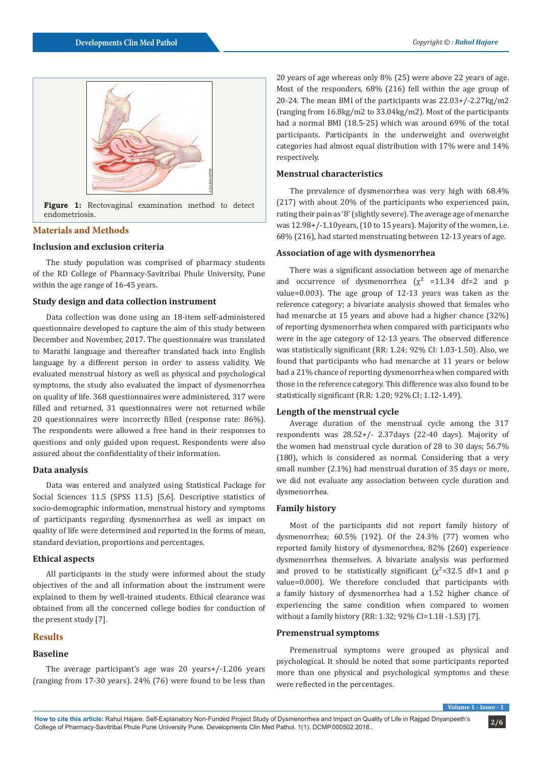

**Figure 1:** Rectovaginal examination method to detect endometriosis.

# **Materials and Methods**

#### **Inclusion and exclusion criteria**

The study population was comprised of pharmacy students of the RD College of Pharmacy-Savitribai Phule University, Pune within the age range of 16-45 years.

## **Study design and data collection instrument**

Data collection was done using an 18-item self-administered questionnaire developed to capture the aim of this study between December and November, 2017. The questionnaire was translated to Marathi language and thereafter translated back into English language by a different person in order to assess validity. We evaluated menstrual history as well as physical and psychological symptoms, the study also evaluated the impact of dysmenorrhea on quality of life. 368 questionnaires were administered, 317 were filled and returned, 31 questionnaires were not returned while 20 questionnaires were incorrectly filled (response rate: 86%). The respondents were allowed a free hand in their responses to questions and only guided upon request. Respondents were also assured about the confidentiality of their information.

#### **Data analysis**

Data was entered and analyzed using Statistical Package for Social Sciences 11.5 (SPSS 11.5) [5,6]. Descriptive statistics of socio-demographic information, menstrual history and symptoms of participants regarding dysmenorrhea as well as impact on quality of life were determined and reported in the forms of mean, standard deviation, proportions and percentages.

## **Ethical aspects**

All participants in the study were informed about the study objectives of the and all information about the instrument were explained to them by well-trained students. Ethical clearance was obtained from all the concerned college bodies for conduction of the present study [7].

## **Results**

# **Baseline**

The average participant's age was 20 years+/-1.206 years (ranging from 17-30 years). 24% (76) were found to be less than

20 years of age whereas only 8% (25) were above 22 years of age. Most of the responders, 68% (216) fell within the age group of 20-24. The mean BMI of the participants was 22.03+/-2.27kg/m2 (ranging from 16.8kg/m2 to 33.04kg/m2). Most of the participants had a normal BMI (18.5-25) which was around 69% of the total participants. Participants in the underweight and overweight categories had almost equal distribution with 17% were and 14% respectively.

## **Menstrual characteristics**

The prevalence of dysmenorrhea was very high with 68.4% (217) with about 20% of the participants who experienced pain, rating their pain as '8' (slightly severe). The average age of menarche was 12.98+/-1.10years, (10 to 15 years). Majority of the women, i.e. 68% (216), had started menstruating between 12-13 years of age.

# **Association of age with dysmenorrhea**

There was a significant association between age of menarche and occurrence of dysmenorrhea  $(\chi^2$  =11.34 df=2 and p value=0.003). The age group of 12-13 years was taken as the reference category; a bivariate analysis showed that females who had menarche at 15 years and above had a higher chance (32%) of reporting dysmenorrhea when compared with participants who were in the age category of 12-13 years. The observed difference was statistically significant (RR: 1.24; 92% CI: 1.03-1.50). Also, we found that participants who had menarche at 11 years or below had a 21% chance of reporting dysmenorrhea when compared with those in the reference category. This difference was also found to be statistically significant (R.R: 1.20; 92% CI; 1.12-1.49).

# **Length of the menstrual cycle**

Average duration of the menstrual cycle among the 317 respondents was 28.52+/- 2.37days (22-40 days). Majority of the women had menstrual cycle duration of 28 to 30 days; 56.7% (180), which is considered as normal. Considering that a very small number (2.1%) had menstrual duration of 35 days or more, we did not evaluate any association between cycle duration and dysmenorrhea.

## **Family history**

Most of the participants did not report family history of dysmenorrhea; 60.5% (192). Of the 24.3% (77) women who reported family history of dysmenorrhea, 82% (260) experience dysmenorrhea themselves. A bivariate analysis was performed and proved to be statistically significant  $(\chi^2=32.5 \text{ df}=1 \text{ and } p)$ value=0.000). We therefore concluded that participants with a family history of dysmenorrhea had a 1.52 higher chance of experiencing the same condition when compared to women without a family history (RR: 1.32; 92% CI=1.18 -1.53) [7].

#### **Premenstrual symptoms**

Premenstrual symptoms were grouped as physical and psychological. It should be noted that some participants reported more than one physical and psychological symptoms and these were reflected in the percentages.

 $V$ **Volume 1**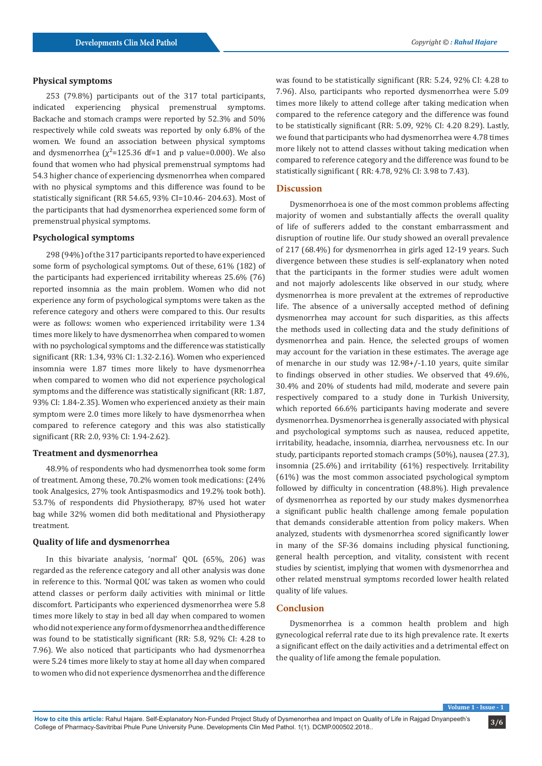## **Physical symptoms**

253 (79.8%) participants out of the 317 total participants, indicated experiencing physical premenstrual symptoms. Backache and stomach cramps were reported by 52.3% and 50% respectively while cold sweats was reported by only 6.8% of the women. We found an association between physical symptoms and dysmenorrhea ( $\chi^2$ =125.36 df=1 and p value=0.000). We also found that women who had physical premenstrual symptoms had 54.3 higher chance of experiencing dysmenorrhea when compared with no physical symptoms and this difference was found to be statistically significant (RR 54.65, 93% CI=10.46- 204.63). Most of the participants that had dysmenorrhea experienced some form of premenstrual physical symptoms.

## **Psychological symptoms**

298 (94%) of the 317 participants reported to have experienced some form of psychological symptoms. Out of these, 61% (182) of the participants had experienced irritability whereas 25.6% (76) reported insomnia as the main problem. Women who did not experience any form of psychological symptoms were taken as the reference category and others were compared to this. Our results were as follows: women who experienced irritability were 1.34 times more likely to have dysmenorrhea when compared to women with no psychological symptoms and the difference was statistically significant (RR: 1.34, 93% CI: 1.32-2.16). Women who experienced insomnia were 1.87 times more likely to have dysmenorrhea when compared to women who did not experience psychological symptoms and the difference was statistically significant (RR: 1.87, 93% CI: 1.84-2.35). Women who experienced anxiety as their main symptom were 2.0 times more likely to have dysmenorrhea when compared to reference category and this was also statistically significant (RR: 2.0, 93% CI: 1.94-2.62).

#### **Treatment and dysmenorrhea**

48.9% of respondents who had dysmenorrhea took some form of treatment. Among these, 70.2% women took medications: (24% took Analgesics, 27% took Antispasmodics and 19.2% took both). 53.7% of respondents did Physiotherapy, 87% used hot water bag while 32% women did both meditational and Physiotherapy treatment.

## **Quality of life and dysmenorrhea**

In this bivariate analysis, 'normal' QOL (65%, 206) was regarded as the reference category and all other analysis was done in reference to this. 'Normal QOL' was taken as women who could attend classes or perform daily activities with minimal or little discomfort. Participants who experienced dysmenorrhea were 5.8 times more likely to stay in bed all day when compared to women who did not experience any form of dysmenorrhea and the difference was found to be statistically significant (RR: 5.8, 92% CI: 4.28 to 7.96). We also noticed that participants who had dysmenorrhea were 5.24 times more likely to stay at home all day when compared to women who did not experience dysmenorrhea and the difference

was found to be statistically significant (RR: 5.24, 92% CI: 4.28 to 7.96). Also, participants who reported dysmenorrhea were 5.09 times more likely to attend college after taking medication when compared to the reference category and the difference was found to be statistically significant (RR: 5.09, 92% CI: 4.20 8.29). Lastly, we found that participants who had dysmenorrhea were 4.78 times more likely not to attend classes without taking medication when compared to reference category and the difference was found to be statistically significant ( RR: 4.78, 92% CI: 3.98 to 7.43).

#### **Discussion**

Dysmenorrhoea is one of the most common problems affecting majority of women and substantially affects the overall quality of life of sufferers added to the constant embarrassment and disruption of routine life. Our study showed an overall prevalence of 217 (68.4%) for dysmenorrhea in girls aged 12-19 years. Such divergence between these studies is self-explanatory when noted that the participants in the former studies were adult women and not majorly adolescents like observed in our study, where dysmenorrhea is more prevalent at the extremes of reproductive life. The absence of a universally accepted method of defining dysmenorrhea may account for such disparities, as this affects the methods used in collecting data and the study definitions of dysmenorrhea and pain. Hence, the selected groups of women may account for the variation in these estimates. The average age of menarche in our study was 12.98+/-1.10 years, quite similar to findings observed in other studies. We observed that 49.6%, 30.4% and 20% of students had mild, moderate and severe pain respectively compared to a study done in Turkish University, which reported 66.6% participants having moderate and severe dysmenorrhea. Dysmenorrhea is generally associated with physical and psychological symptoms such as nausea, reduced appetite, irritability, headache, insomnia, diarrhea, nervousness etc. In our study, participants reported stomach cramps (50%), nausea (27.3), insomnia (25.6%) and irritability (61%) respectively. Irritability (61%) was the most common associated psychological symptom followed by difficulty in concentration (48.8%). High prevalence of dysmenorrhea as reported by our study makes dysmenorrhea a significant public health challenge among female population that demands considerable attention from policy makers. When analyzed, students with dysmenorrhea scored significantly lower in many of the SF-36 domains including physical functioning, general health perception, and vitality, consistent with recent studies by scientist, implying that women with dysmenorrhea and other related menstrual symptoms recorded lower health related quality of life values.

## **Conclusion**

Dysmenorrhea is a common health problem and high gynecological referral rate due to its high prevalence rate. It exerts a significant effect on the daily activities and a detrimental effect on the quality of life among the female population.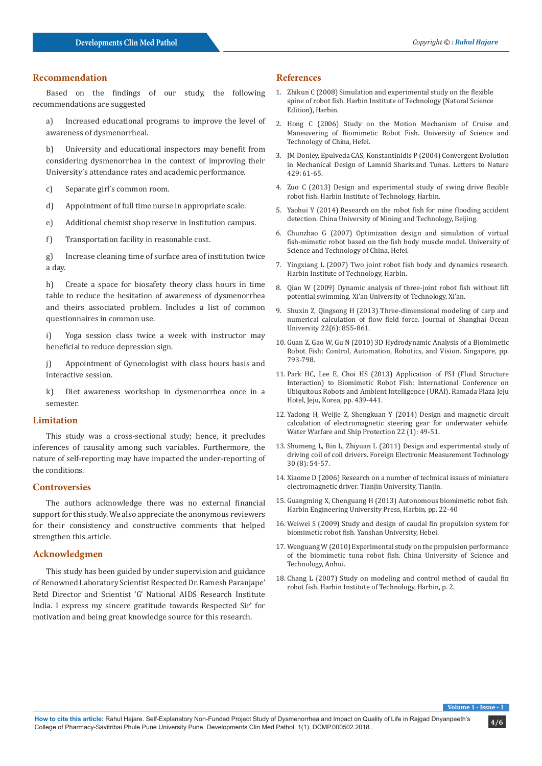# **Recommendation**

Based on the findings of our study, the following recommendations are suggested

a) Increased educational programs to improve the level of awareness of dysmenorrheal.

b) University and educational inspectors may benefit from considering dysmenorrhea in the context of improving their University's attendance rates and academic performance.

- c) Separate girl's common room.
- d) Appointment of full time nurse in appropriate scale.
- e) Additional chemist shop reserve in Institution campus.
- f) Transportation facility in reasonable cost.

g) Increase cleaning time of surface area of institution twice a day.

h) Create a space for biosafety theory class hours in time table to reduce the hesitation of awareness of dysmenorrhea and theirs associated problem. Includes a list of common questionnaires in common use.

i) Yoga session class twice a week with instructor may beneficial to reduce depression sign.

j) Appointment of Gynecologist with class hours basis and interactive session.

k) Diet awareness workshop in dysmenorrhea once in a semester.

#### **Limitation**

This study was a cross-sectional study; hence, it precludes inferences of causality among such variables. Furthermore, the nature of self-reporting may have impacted the under-reporting of the conditions.

#### **Controversies**

The authors acknowledge there was no external financial support for this study. We also appreciate the anonymous reviewers for their consistency and constructive comments that helped strengthen this article.

# **Acknowledgmen**

This study has been guided by under supervision and guidance of Renowned Laboratory Scientist Respected Dr. Ramesh Paranjape' Retd Director and Scientist 'G' National AIDS Research Institute India. I express my sincere gratitude towards Respected Sir' for motivation and being great knowledge source for this research.

# **References**

- 1. Zhikun C (2008) Simulation and experimental study on the flexible spine of robot fish. Harbin Institute of Technology (Natural Science Edition), Harbin.
- 2. Hong C (2006) Study on the Motion Mechanism of Cruise and Maneuvering of Biomimetic Robot Fish. University of Science and Technology of China, Hefei.
- 3. JM Donley, Epulveda CAS, Konstantinidis P (2004) Convergent Evolution in Mechanical Design of Lamnid Sharksand Tunas. Letters to Nature 429: 61-65.
- 4. Zuo C (2013) Design and experimental study of swing drive flexible robot fish. Harbin Institute of Technology, Harbin.
- 5. Yaohui Y (2014) Research on the robot fish for mine flooding accident detection. China University of Mining and Technology, Beijing.
- 6. Chunzhao G (2007) Optimization design and simulation of virtual fish-mimetic robot based on the fish body muscle model. University of Science and Technology of China, Hefei.
- 7. Yingxiang L (2007) Two joint robot fish body and dynamics research. Harbin Institute of Technology, Harbin.
- 8. Qian W (2009) Dynamic analysis of three-joint robot fish without lift potential swimming. Xi'an University of Technology, Xi'an.
- 9. Shuxin Z, Qingsong H (2013) Three-dimensional modeling of carp and numerical calculation of flow field force. Journal of Shanghai Ocean University 22(6): 855-861.
- 10. Guan Z, Gao W, Gu N (2010) 3D Hydrodynamic Analysis of a Biomimetic Robot Fish: Control, Automation, Robotics, and Vision. Singapore, pp. 793-798.
- 11. Park HC, Lee E, Choi HS (2013) Application of FSI (Fluid Structure Interaction) to Biomimetic Robot Fish: International Conference on Ubiquitous Robots and Ambient Intelligence (URAI). Ramada Plaza Jeju Hotel, Jeju, Korea, pp. 439-441.
- 12. Yadong H, Weijie Z, Shengkuan Y (2014) Design and magnetic circuit calculation of electromagnetic steering gear for underwater vehicle. Water Warfare and Ship Protection 22 (1): 49-51.
- 13. Shumeng L, Bin L, Zhiyuan L (2011) Design and experimental study of driving coil of coil drivers. Foreign Electronic Measurement Technology 30 (8): 54-57.
- 14. Xiaome D (2006) Research on a number of technical issues of miniature electromagnetic driver. Tianjin University, Tianjin.
- 15. Guangming X, Chenguang H (2013) Autonomous biomimetic robot fish. Harbin Engineering University Press, Harbin, pp. 22-40
- 16. Weiwei S (2009) Study and design of caudal fin propulsion system for biomimetic robot fish. Yanshan University, Hebei.
- 17. Wenguang W (2010) Experimental study on the propulsion performance of the biomimetic tuna robot fish. China University of Science and Technology, Anhui.
- 18. Chang L (2007) Study on modeling and control method of caudal fin robot fish. Harbin Institute of Technology, Harbin, p. 2.